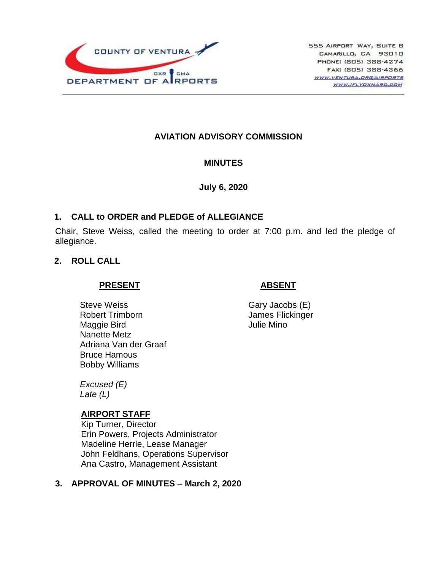

## **AVIATION ADVISORY COMMISSION**

### **MINUTES**

**July 6, 2020**

### **1. CALL to ORDER and PLEDGE of ALLEGIANCE**

Chair, Steve Weiss, called the meeting to order at 7:00 p.m. and led the pledge of allegiance.

### **2. ROLL CALL**

### **PRESENT**

Steve Weiss Robert Trimborn Maggie Bird Nanette Metz Adriana Van der Graaf Bruce Hamous Bobby Williams

*Excused (E) Late (L)*

### **AIRPORT STAFF**

Kip Turner, Director Erin Powers, Projects Administrator Madeline Herrle, Lease Manager John Feldhans, Operations Supervisor Ana Castro, Management Assistant

## **3. APPROVAL OF MINUTES – March 2, 2020**

## Gary Jacobs (E) James Flickinger Julie Mino

 **ABSENT**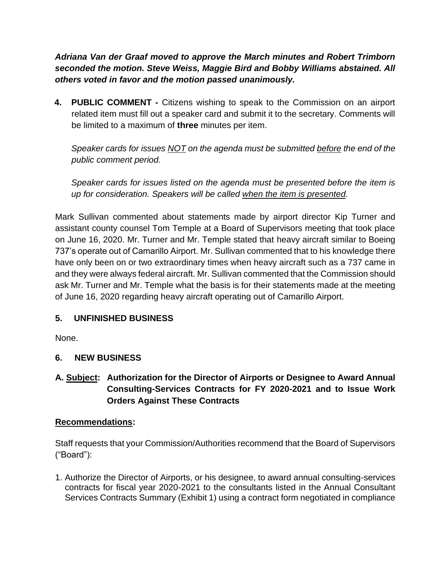*Adriana Van der Graaf moved to approve the March minutes and Robert Trimborn seconded the motion. Steve Weiss, Maggie Bird and Bobby Williams abstained. All others voted in favor and the motion passed unanimously.*

**4. PUBLIC COMMENT -** Citizens wishing to speak to the Commission on an airport related item must fill out a speaker card and submit it to the secretary. Comments will be limited to a maximum of **three** minutes per item.

*Speaker cards for issues NOT on the agenda must be submitted before the end of the public comment period.* 

*Speaker cards for issues listed on the agenda must be presented before the item is up for consideration. Speakers will be called when the item is presented.*

Mark Sullivan commented about statements made by airport director Kip Turner and assistant county counsel Tom Temple at a Board of Supervisors meeting that took place on June 16, 2020. Mr. Turner and Mr. Temple stated that heavy aircraft similar to Boeing 737's operate out of Camarillo Airport. Mr. Sullivan commented that to his knowledge there have only been on or two extraordinary times when heavy aircraft such as a 737 came in and they were always federal aircraft. Mr. Sullivan commented that the Commission should ask Mr. Turner and Mr. Temple what the basis is for their statements made at the meeting of June 16, 2020 regarding heavy aircraft operating out of Camarillo Airport.

# **5. UNFINISHED BUSINESS**

None.

## **6. NEW BUSINESS**

**A. Subject: Authorization for the Director of Airports or Designee to Award Annual Consulting-Services Contracts for FY 2020-2021 and to Issue Work Orders Against These Contracts**

## **Recommendations:**

Staff requests that your Commission/Authorities recommend that the Board of Supervisors ("Board"):

1. Authorize the Director of Airports, or his designee, to award annual consulting-services contracts for fiscal year 2020-2021 to the consultants listed in the Annual Consultant Services Contracts Summary (Exhibit 1) using a contract form negotiated in compliance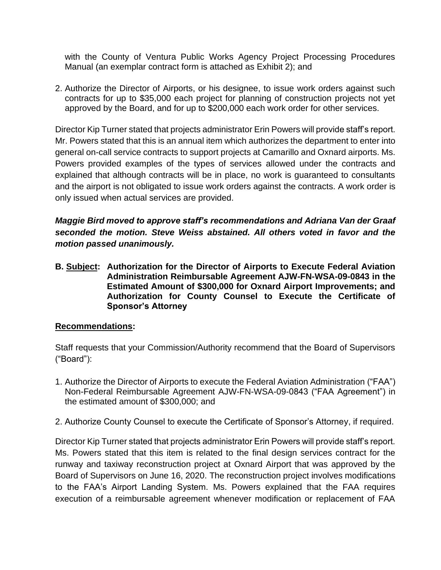with the County of Ventura Public Works Agency Project Processing Procedures Manual (an exemplar contract form is attached as Exhibit 2); and

2. Authorize the Director of Airports, or his designee, to issue work orders against such contracts for up to \$35,000 each project for planning of construction projects not yet approved by the Board, and for up to \$200,000 each work order for other services.

Director Kip Turner stated that projects administrator Erin Powers will provide staff's report. Mr. Powers stated that this is an annual item which authorizes the department to enter into general on-call service contracts to support projects at Camarillo and Oxnard airports. Ms. Powers provided examples of the types of services allowed under the contracts and explained that although contracts will be in place, no work is guaranteed to consultants and the airport is not obligated to issue work orders against the contracts. A work order is only issued when actual services are provided.

*Maggie Bird moved to approve staff's recommendations and Adriana Van der Graaf seconded the motion. Steve Weiss abstained. All others voted in favor and the motion passed unanimously.*

**B. Subject: Authorization for the Director of Airports to Execute Federal Aviation Administration Reimbursable Agreement AJW-FN-WSA-09-0843 in the Estimated Amount of \$300,000 for Oxnard Airport Improvements; and Authorization for County Counsel to Execute the Certificate of Sponsor's Attorney**

## **Recommendations:**

Staff requests that your Commission/Authority recommend that the Board of Supervisors ("Board"):

- 1. Authorize the Director of Airports to execute the Federal Aviation Administration ("FAA") Non-Federal Reimbursable Agreement AJW-FN-WSA-09-0843 ("FAA Agreement") in the estimated amount of \$300,000; and
- 2. Authorize County Counsel to execute the Certificate of Sponsor's Attorney, if required.

Director Kip Turner stated that projects administrator Erin Powers will provide staff's report. Ms. Powers stated that this item is related to the final design services contract for the runway and taxiway reconstruction project at Oxnard Airport that was approved by the Board of Supervisors on June 16, 2020. The reconstruction project involves modifications to the FAA's Airport Landing System. Ms. Powers explained that the FAA requires execution of a reimbursable agreement whenever modification or replacement of FAA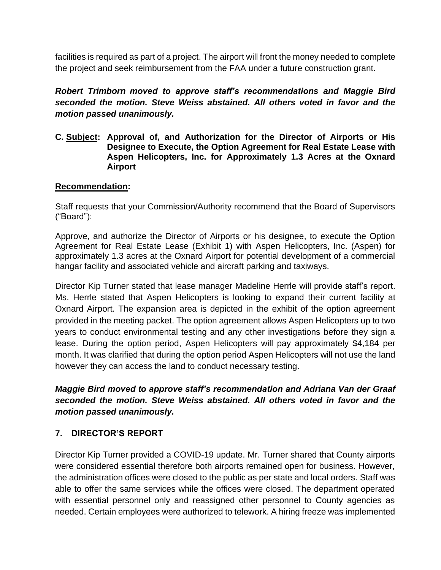facilities is required as part of a project. The airport will front the money needed to complete the project and seek reimbursement from the FAA under a future construction grant.

# *Robert Trimborn moved to approve staff's recommendations and Maggie Bird seconded the motion. Steve Weiss abstained. All others voted in favor and the motion passed unanimously.*

**C. Subject: Approval of, and Authorization for the Director of Airports or His Designee to Execute, the Option Agreement for Real Estate Lease with Aspen Helicopters, Inc. for Approximately 1.3 Acres at the Oxnard Airport**

## **Recommendation:**

Staff requests that your Commission/Authority recommend that the Board of Supervisors ("Board"):

Approve, and authorize the Director of Airports or his designee, to execute the Option Agreement for Real Estate Lease (Exhibit 1) with Aspen Helicopters, Inc. (Aspen) for approximately 1.3 acres at the Oxnard Airport for potential development of a commercial hangar facility and associated vehicle and aircraft parking and taxiways.

Director Kip Turner stated that lease manager Madeline Herrle will provide staff's report. Ms. Herrle stated that Aspen Helicopters is looking to expand their current facility at Oxnard Airport. The expansion area is depicted in the exhibit of the option agreement provided in the meeting packet. The option agreement allows Aspen Helicopters up to two years to conduct environmental testing and any other investigations before they sign a lease. During the option period, Aspen Helicopters will pay approximately \$4,184 per month. It was clarified that during the option period Aspen Helicopters will not use the land however they can access the land to conduct necessary testing.

*Maggie Bird moved to approve staff's recommendation and Adriana Van der Graaf seconded the motion. Steve Weiss abstained. All others voted in favor and the motion passed unanimously.*

# **7. DIRECTOR'S REPORT**

Director Kip Turner provided a COVID-19 update. Mr. Turner shared that County airports were considered essential therefore both airports remained open for business. However, the administration offices were closed to the public as per state and local orders. Staff was able to offer the same services while the offices were closed. The department operated with essential personnel only and reassigned other personnel to County agencies as needed. Certain employees were authorized to telework. A hiring freeze was implemented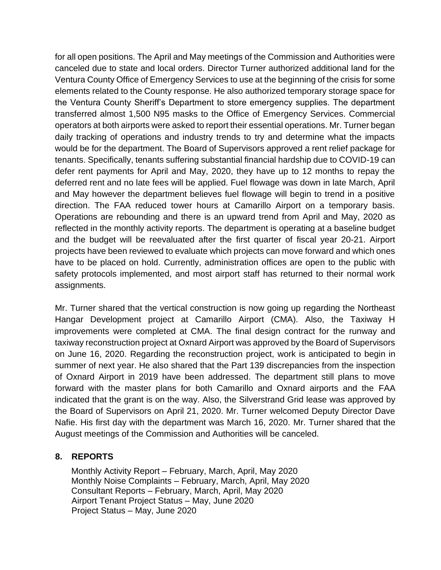for all open positions. The April and May meetings of the Commission and Authorities were canceled due to state and local orders. Director Turner authorized additional land for the Ventura County Office of Emergency Services to use at the beginning of the crisis for some elements related to the County response. He also authorized temporary storage space for the Ventura County Sheriff's Department to store emergency supplies. The department transferred almost 1,500 N95 masks to the Office of Emergency Services. Commercial operators at both airports were asked to report their essential operations. Mr. Turner began daily tracking of operations and industry trends to try and determine what the impacts would be for the department. The Board of Supervisors approved a rent relief package for tenants. Specifically, tenants suffering substantial financial hardship due to COVID-19 can defer rent payments for April and May, 2020, they have up to 12 months to repay the deferred rent and no late fees will be applied. Fuel flowage was down in late March, April and May however the department believes fuel flowage will begin to trend in a positive direction. The FAA reduced tower hours at Camarillo Airport on a temporary basis. Operations are rebounding and there is an upward trend from April and May, 2020 as reflected in the monthly activity reports. The department is operating at a baseline budget and the budget will be reevaluated after the first quarter of fiscal year 20-21. Airport projects have been reviewed to evaluate which projects can move forward and which ones have to be placed on hold. Currently, administration offices are open to the public with safety protocols implemented, and most airport staff has returned to their normal work assignments.

Mr. Turner shared that the vertical construction is now going up regarding the Northeast Hangar Development project at Camarillo Airport (CMA). Also, the Taxiway H improvements were completed at CMA. The final design contract for the runway and taxiway reconstruction project at Oxnard Airport was approved by the Board of Supervisors on June 16, 2020. Regarding the reconstruction project, work is anticipated to begin in summer of next year. He also shared that the Part 139 discrepancies from the inspection of Oxnard Airport in 2019 have been addressed. The department still plans to move forward with the master plans for both Camarillo and Oxnard airports and the FAA indicated that the grant is on the way. Also, the Silverstrand Grid lease was approved by the Board of Supervisors on April 21, 2020. Mr. Turner welcomed Deputy Director Dave Nafie. His first day with the department was March 16, 2020. Mr. Turner shared that the August meetings of the Commission and Authorities will be canceled.

## **8. REPORTS**

Monthly Activity Report – February, March, April, May 2020 Monthly Noise Complaints – February, March, April, May 2020 Consultant Reports – February, March, April, May 2020 Airport Tenant Project Status – May, June 2020 Project Status – May, June 2020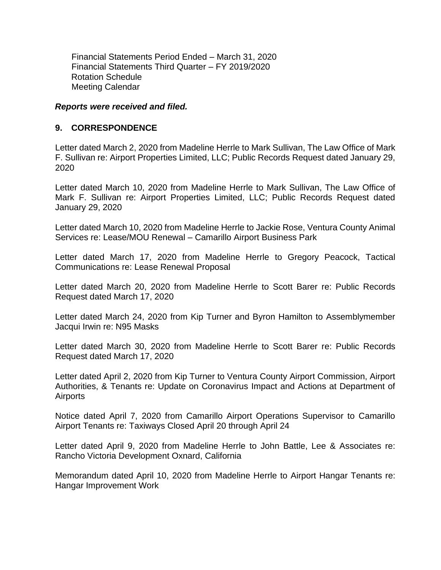Financial Statements Period Ended – March 31, 2020 Financial Statements Third Quarter – FY 2019/2020 Rotation Schedule Meeting Calendar

#### *Reports were received and filed.*

### **9. CORRESPONDENCE**

Letter dated March 2, 2020 from Madeline Herrle to Mark Sullivan, The Law Office of Mark F. Sullivan re: Airport Properties Limited, LLC; Public Records Request dated January 29, 2020

Letter dated March 10, 2020 from Madeline Herrle to Mark Sullivan, The Law Office of Mark F. Sullivan re: Airport Properties Limited, LLC; Public Records Request dated January 29, 2020

Letter dated March 10, 2020 from Madeline Herrle to Jackie Rose, Ventura County Animal Services re: Lease/MOU Renewal – Camarillo Airport Business Park

Letter dated March 17, 2020 from Madeline Herrle to Gregory Peacock, Tactical Communications re: Lease Renewal Proposal

Letter dated March 20, 2020 from Madeline Herrle to Scott Barer re: Public Records Request dated March 17, 2020

Letter dated March 24, 2020 from Kip Turner and Byron Hamilton to Assemblymember Jacqui Irwin re: N95 Masks

Letter dated March 30, 2020 from Madeline Herrle to Scott Barer re: Public Records Request dated March 17, 2020

Letter dated April 2, 2020 from Kip Turner to Ventura County Airport Commission, Airport Authorities, & Tenants re: Update on Coronavirus Impact and Actions at Department of Airports

Notice dated April 7, 2020 from Camarillo Airport Operations Supervisor to Camarillo Airport Tenants re: Taxiways Closed April 20 through April 24

Letter dated April 9, 2020 from Madeline Herrle to John Battle, Lee & Associates re: Rancho Victoria Development Oxnard, California

Memorandum dated April 10, 2020 from Madeline Herrle to Airport Hangar Tenants re: Hangar Improvement Work